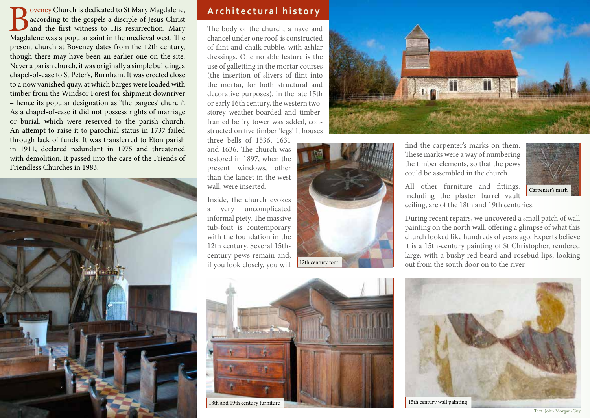Boveney Church is dedicated to St Mary Magdalene,<br>according to the gospels a disciple of Jesus Christ<br>and the first witness to His resurrection. Mary<br>Magdalene was a popular saint in the medieval west. The according to the gospels a disciple of Jesus Christ and the first witness to His resurrection. Mary Magdalene was a popular saint in the medieval west. The present church at Boveney dates from the 12th century, though there may have been an earlier one on the site. Never a parish church, it was originally a simple building, a chapel-of-ease to St Peter's, Burnham. It was erected close to a now vanished quay, at which barges were loaded with timber from the Windsor Forest for shipment downriver – hence its popular designation as "the bargees' church". As a chapel-of-ease it did not possess rights of marriage or burial, which were reserved to the parish church. An attempt to raise it to parochial status in 1737 failed through lack of funds. It was transferred to Eton parish in 1911, declared redundant in 1975 and threatened with demolition. It passed into the care of the Friends of Friendless Churches in 1983.



# **Architectural history**

The body of the church, a nave and chancel under one roof, is constructed of flint and chalk rubble, with ashlar dressings. One notable feature is the use of galletting in the mortar courses (the insertion of slivers of flint into the mortar, for both structural and decorative purposes). In the late 15th or early 16th century, the western twostorey weather-boarded and timberframed belfry tower was added, constructed on five timber 'legs'. It houses

three bells of 1536, 1631 and 1636. The church was restored in 1897, when the present windows, other than the lancet in the west wall, were inserted.

Inside, the church evokes a very uncomplicated informal piety. The massive tub-font is contemporary with the foundation in the 12th century. Several 15thcentury pews remain and, if you look closely, you will





18th and 19th century furniture



find the carpenter's marks on them. These marks were a way of numbering the timber elements, so that the pews could be assembled in the church.

All other furniture and fittings, including the plaster barrel vault

out from the south door on to the river.

Carpenter's mark

ceiling, are of the 18th and 19th centuries. During recent repairs, we uncovered a small patch of wall painting on the north wall, offering a glimpse of what this church looked like hundreds of years ago. Experts believe it is a 15th-century painting of St Christopher, rendered large, with a bushy red beard and rosebud lips, looking